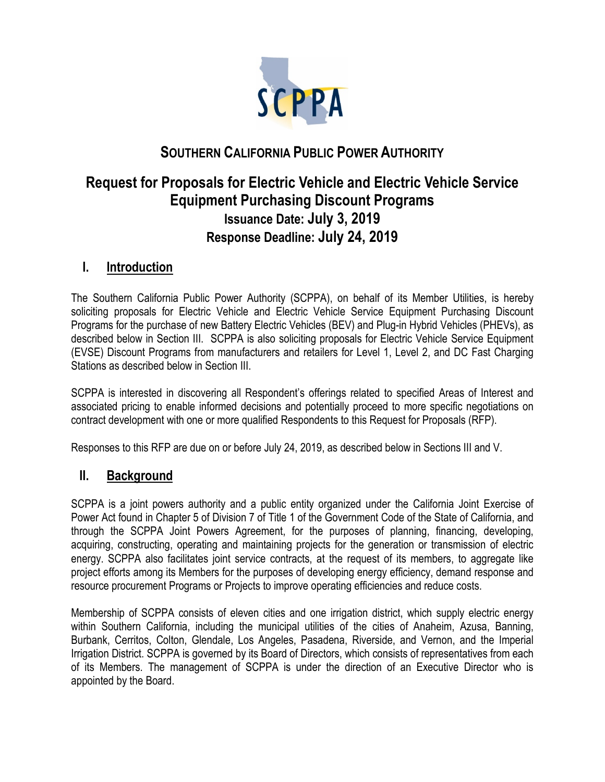

# **SOUTHERN CALIFORNIA PUBLIC POWER AUTHORITY**

# **Request for Proposals for Electric Vehicle and Electric Vehicle Service Equipment Purchasing Discount Programs Issuance Date: July 3, 2019 Response Deadline: July 24, 2019**

### **I. Introduction**

The Southern California Public Power Authority (SCPPA), on behalf of its Member Utilities, is hereby soliciting proposals for Electric Vehicle and Electric Vehicle Service Equipment Purchasing Discount Programs for the purchase of new Battery Electric Vehicles (BEV) and Plug-in Hybrid Vehicles (PHEVs), as described below in Section III. SCPPA is also soliciting proposals for Electric Vehicle Service Equipment (EVSE) Discount Programs from manufacturers and retailers for Level 1, Level 2, and DC Fast Charging Stations as described below in Section III.

SCPPA is interested in discovering all Respondent's offerings related to specified Areas of Interest and associated pricing to enable informed decisions and potentially proceed to more specific negotiations on contract development with one or more qualified Respondents to this Request for Proposals (RFP).

Responses to this RFP are due on or before July 24, 2019, as described below in Sections III and V.

### **II. Background**

SCPPA is a joint powers authority and a public entity organized under the California Joint Exercise of Power Act found in Chapter 5 of Division 7 of Title 1 of the Government Code of the State of California, and through the SCPPA Joint Powers Agreement, for the purposes of planning, financing, developing, acquiring, constructing, operating and maintaining projects for the generation or transmission of electric energy. SCPPA also facilitates joint service contracts, at the request of its members, to aggregate like project efforts among its Members for the purposes of developing energy efficiency, demand response and resource procurement Programs or Projects to improve operating efficiencies and reduce costs.

Membership of SCPPA consists of eleven cities and one irrigation district, which supply electric energy within Southern California, including the municipal utilities of the cities of Anaheim, Azusa, Banning, Burbank, Cerritos, Colton, Glendale, Los Angeles, Pasadena, Riverside, and Vernon, and the Imperial Irrigation District. SCPPA is governed by its Board of Directors, which consists of representatives from each of its Members. The management of SCPPA is under the direction of an Executive Director who is appointed by the Board.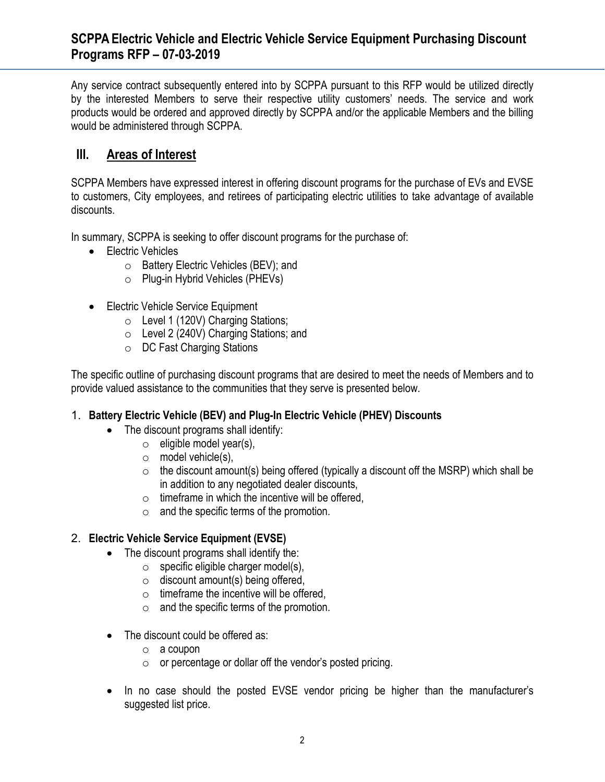## **SCPPA Electric Vehicle and Electric Vehicle Service Equipment Purchasing Discount Programs RFP – 07-03-2019**

Any service contract subsequently entered into by SCPPA pursuant to this RFP would be utilized directly by the interested Members to serve their respective utility customers' needs. The service and work products would be ordered and approved directly by SCPPA and/or the applicable Members and the billing would be administered through SCPPA.

## **III. Areas of Interest**

SCPPA Members have expressed interest in offering discount programs for the purchase of EVs and EVSE to customers, City employees, and retirees of participating electric utilities to take advantage of available discounts.

In summary, SCPPA is seeking to offer discount programs for the purchase of:

- Electric Vehicles
	- o Battery Electric Vehicles (BEV); and
	- o Plug-in Hybrid Vehicles (PHEVs)
- Electric Vehicle Service Equipment
	- o Level 1 (120V) Charging Stations;
	- o Level 2 (240V) Charging Stations; and
	- o DC Fast Charging Stations

The specific outline of purchasing discount programs that are desired to meet the needs of Members and to provide valued assistance to the communities that they serve is presented below.

#### 1. **Battery Electric Vehicle (BEV) and Plug-In Electric Vehicle (PHEV) Discounts**

- The discount programs shall identify:
	- $\circ$  eligible model year(s),
	- o model vehicle(s),
	- $\circ$  the discount amount(s) being offered (typically a discount off the MSRP) which shall be in addition to any negotiated dealer discounts,
	- $\circ$  timeframe in which the incentive will be offered,
	- $\circ$  and the specific terms of the promotion.

#### 2. **Electric Vehicle Service Equipment (EVSE)**

- The discount programs shall identify the:
	- $\circ$  specific eligible charger model(s),
	- $\circ$  discount amount(s) being offered,
	- $\circ$  timeframe the incentive will be offered,
	- $\circ$  and the specific terms of the promotion.
- The discount could be offered as:
	- o a coupon
	- o or percentage or dollar off the vendor's posted pricing.
- In no case should the posted EVSE vendor pricing be higher than the manufacturer's suggested list price.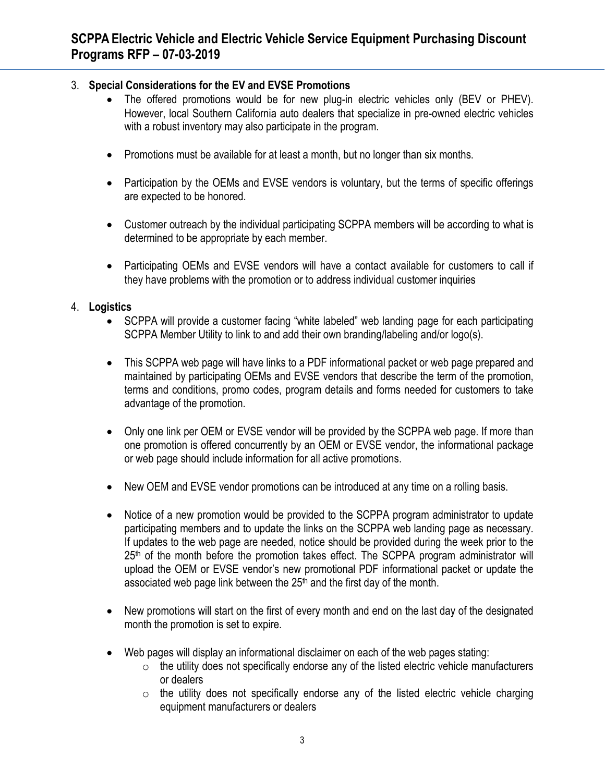### 3. **Special Considerations for the EV and EVSE Promotions**

- The offered promotions would be for new plug-in electric vehicles only (BEV or PHEV). However, local Southern California auto dealers that specialize in pre-owned electric vehicles with a robust inventory may also participate in the program.
- Promotions must be available for at least a month, but no longer than six months.
- Participation by the OEMs and EVSE vendors is voluntary, but the terms of specific offerings are expected to be honored.
- Customer outreach by the individual participating SCPPA members will be according to what is determined to be appropriate by each member.
- Participating OEMs and EVSE vendors will have a contact available for customers to call if they have problems with the promotion or to address individual customer inquiries

#### 4. **Logistics**

- SCPPA will provide a customer facing "white labeled" web landing page for each participating SCPPA Member Utility to link to and add their own branding/labeling and/or logo(s).
- This SCPPA web page will have links to a PDF informational packet or web page prepared and maintained by participating OEMs and EVSE vendors that describe the term of the promotion, terms and conditions, promo codes, program details and forms needed for customers to take advantage of the promotion.
- Only one link per OEM or EVSE vendor will be provided by the SCPPA web page. If more than one promotion is offered concurrently by an OEM or EVSE vendor, the informational package or web page should include information for all active promotions.
- New OEM and EVSE vendor promotions can be introduced at any time on a rolling basis.
- Notice of a new promotion would be provided to the SCPPA program administrator to update participating members and to update the links on the SCPPA web landing page as necessary. If updates to the web page are needed, notice should be provided during the week prior to the 25<sup>th</sup> of the month before the promotion takes effect. The SCPPA program administrator will upload the OEM or EVSE vendor's new promotional PDF informational packet or update the associated web page link between the 25<sup>th</sup> and the first day of the month.
- New promotions will start on the first of every month and end on the last day of the designated month the promotion is set to expire.
- Web pages will display an informational disclaimer on each of the web pages stating:
	- $\circ$  the utility does not specifically endorse any of the listed electric vehicle manufacturers or dealers
	- $\circ$  the utility does not specifically endorse any of the listed electric vehicle charging equipment manufacturers or dealers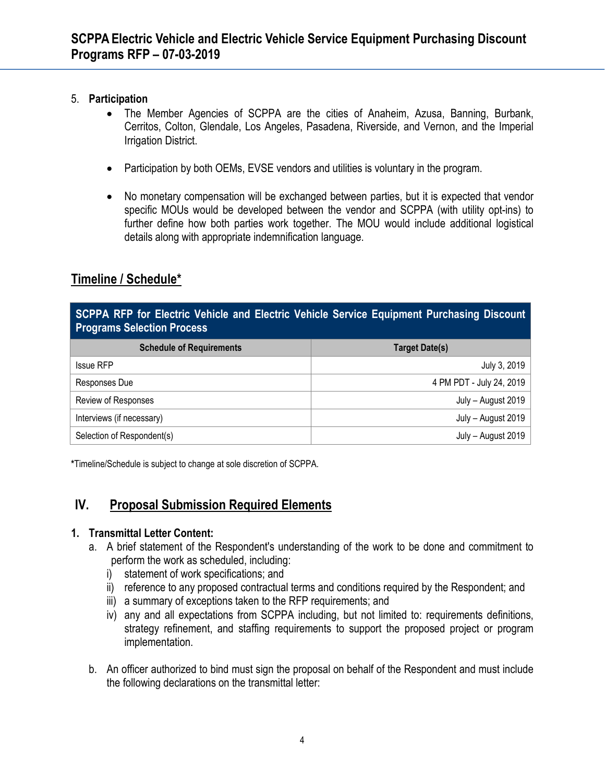#### 5. **Participation**

- The Member Agencies of SCPPA are the cities of Anaheim, Azusa, Banning, Burbank, Cerritos, Colton, Glendale, Los Angeles, Pasadena, Riverside, and Vernon, and the Imperial Irrigation District.
- Participation by both OEMs, EVSE vendors and utilities is voluntary in the program.
- No monetary compensation will be exchanged between parties, but it is expected that vendor specific MOUs would be developed between the vendor and SCPPA (with utility opt-ins) to further define how both parties work together. The MOU would include additional logistical details along with appropriate indemnification language.

# **Timeline / Schedule\***

**SCPPA RFP for Electric Vehicle and Electric Vehicle Service Equipment Purchasing Discount Programs Selection Process**

| <b>Schedule of Requirements</b> | Target Date(s)           |
|---------------------------------|--------------------------|
| <b>Issue RFP</b>                | July 3, 2019             |
| Responses Due                   | 4 PM PDT - July 24, 2019 |
| Review of Responses             | July - August 2019       |
| Interviews (if necessary)       | July - August 2019       |
| Selection of Respondent(s)      | July - August 2019       |

**\***Timeline/Schedule is subject to change at sole discretion of SCPPA.

## **IV. Proposal Submission Required Elements**

#### **1. Transmittal Letter Content:**

- a. A brief statement of the Respondent's understanding of the work to be done and commitment to perform the work as scheduled, including:
	- i) statement of work specifications; and
	- ii) reference to any proposed contractual terms and conditions required by the Respondent; and
	- iii) a summary of exceptions taken to the RFP requirements; and
	- iv) any and all expectations from SCPPA including, but not limited to: requirements definitions, strategy refinement, and staffing requirements to support the proposed project or program implementation.
- b. An officer authorized to bind must sign the proposal on behalf of the Respondent and must include the following declarations on the transmittal letter: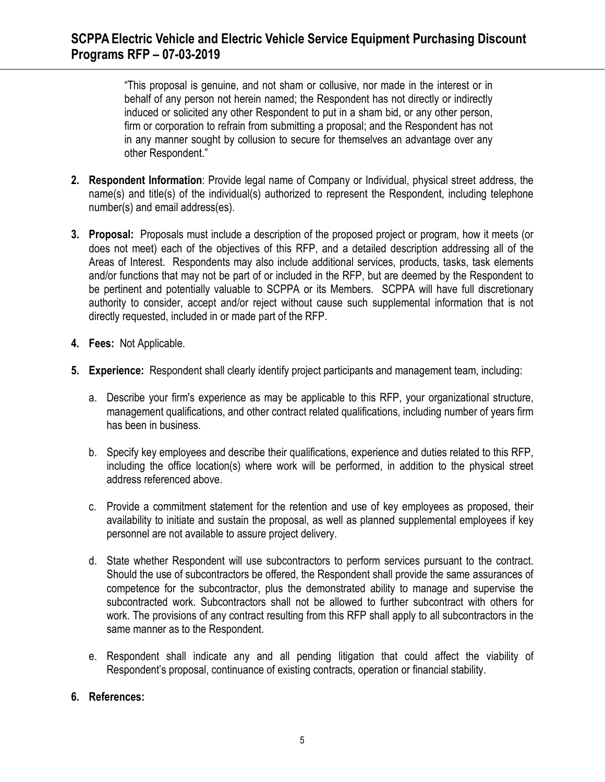"This proposal is genuine, and not sham or collusive, nor made in the interest or in behalf of any person not herein named; the Respondent has not directly or indirectly induced or solicited any other Respondent to put in a sham bid, or any other person, firm or corporation to refrain from submitting a proposal; and the Respondent has not in any manner sought by collusion to secure for themselves an advantage over any other Respondent."

- **2. Respondent Information**: Provide legal name of Company or Individual, physical street address, the name(s) and title(s) of the individual(s) authorized to represent the Respondent, including telephone number(s) and email address(es).
- **3. Proposal:** Proposals must include a description of the proposed project or program, how it meets (or does not meet) each of the objectives of this RFP, and a detailed description addressing all of the Areas of Interest. Respondents may also include additional services, products, tasks, task elements and/or functions that may not be part of or included in the RFP, but are deemed by the Respondent to be pertinent and potentially valuable to SCPPA or its Members. SCPPA will have full discretionary authority to consider, accept and/or reject without cause such supplemental information that is not directly requested, included in or made part of the RFP.
- **4. Fees:** Not Applicable.
- **5. Experience:** Respondent shall clearly identify project participants and management team, including:
	- a. Describe your firm's experience as may be applicable to this RFP, your organizational structure, management qualifications, and other contract related qualifications, including number of years firm has been in business.
	- b. Specify key employees and describe their qualifications, experience and duties related to this RFP, including the office location(s) where work will be performed, in addition to the physical street address referenced above.
	- c. Provide a commitment statement for the retention and use of key employees as proposed, their availability to initiate and sustain the proposal, as well as planned supplemental employees if key personnel are not available to assure project delivery.
	- d. State whether Respondent will use subcontractors to perform services pursuant to the contract. Should the use of subcontractors be offered, the Respondent shall provide the same assurances of competence for the subcontractor, plus the demonstrated ability to manage and supervise the subcontracted work. Subcontractors shall not be allowed to further subcontract with others for work. The provisions of any contract resulting from this RFP shall apply to all subcontractors in the same manner as to the Respondent.
	- e. Respondent shall indicate any and all pending litigation that could affect the viability of Respondent's proposal, continuance of existing contracts, operation or financial stability.

### **6. References:**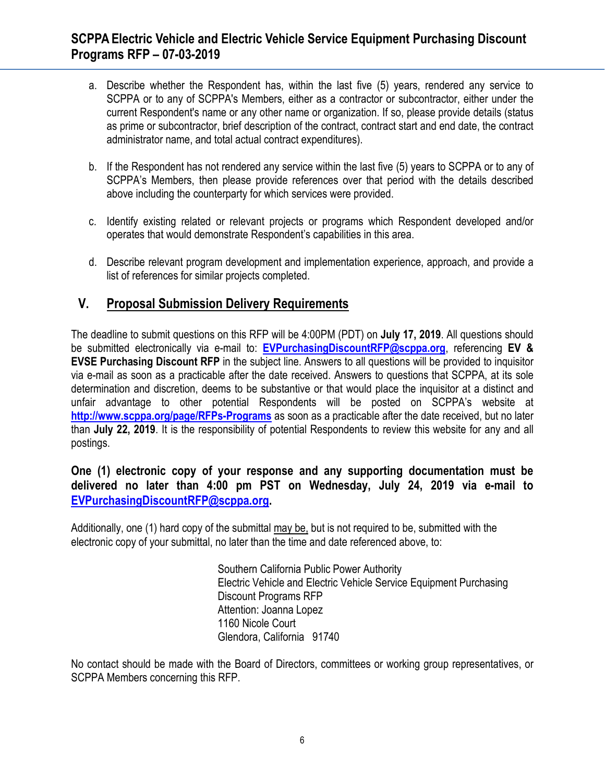- a. Describe whether the Respondent has, within the last five (5) years, rendered any service to SCPPA or to any of SCPPA's Members, either as a contractor or subcontractor, either under the current Respondent's name or any other name or organization. If so, please provide details (status as prime or subcontractor, brief description of the contract, contract start and end date, the contract administrator name, and total actual contract expenditures).
- b. If the Respondent has not rendered any service within the last five (5) years to SCPPA or to any of SCPPA's Members, then please provide references over that period with the details described above including the counterparty for which services were provided.
- c. Identify existing related or relevant projects or programs which Respondent developed and/or operates that would demonstrate Respondent's capabilities in this area.
- d. Describe relevant program development and implementation experience, approach, and provide a list of references for similar projects completed.

## **V. Proposal Submission Delivery Requirements**

The deadline to submit questions on this RFP will be 4:00PM (PDT) on **July 17, 2019**. All questions should be submitted electronically via e-mail to: **[EVPurchasingDiscountRFP@scppa.org](mailto:EVPurchasingDiscountRFP@scppa.org)**, referencing **EV & EVSE Purchasing Discount RFP** in the subject line. Answers to all questions will be provided to inquisitor via e-mail as soon as a practicable after the date received. Answers to questions that SCPPA, at its sole determination and discretion, deems to be substantive or that would place the inquisitor at a distinct and unfair advantage to other potential Respondents will be posted on SCPPA's website at **<http://www.scppa.org/page/RFPs-Programs>** as soon as a practicable after the date received, but no later than **July 22, 2019**. It is the responsibility of potential Respondents to review this website for any and all postings.

### **One (1) electronic copy of your response and any supporting documentation must be delivered no later than 4:00 pm PST on Wednesday, July 24, 2019 via e-mail to [EVPurchasingDiscountRFP@scppa.org.](mailto:EVPurchasingDiscountRFP@scppa.org)**

Additionally, one (1) hard copy of the submittal may be, but is not required to be, submitted with the electronic copy of your submittal, no later than the time and date referenced above, to:

> Southern California Public Power Authority Electric Vehicle and Electric Vehicle Service Equipment Purchasing Discount Programs RFP Attention: Joanna Lopez 1160 Nicole Court Glendora, California 91740

No contact should be made with the Board of Directors, committees or working group representatives, or SCPPA Members concerning this RFP.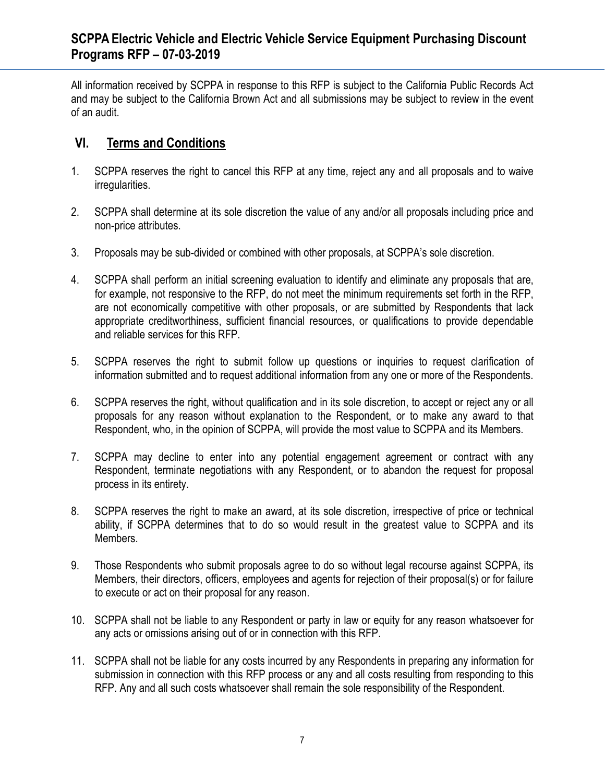All information received by SCPPA in response to this RFP is subject to the California Public Records Act and may be subject to the California Brown Act and all submissions may be subject to review in the event of an audit.

## **VI. Terms and Conditions**

- 1. SCPPA reserves the right to cancel this RFP at any time, reject any and all proposals and to waive irregularities.
- 2. SCPPA shall determine at its sole discretion the value of any and/or all proposals including price and non-price attributes.
- 3. Proposals may be sub-divided or combined with other proposals, at SCPPA's sole discretion.
- 4. SCPPA shall perform an initial screening evaluation to identify and eliminate any proposals that are, for example, not responsive to the RFP, do not meet the minimum requirements set forth in the RFP, are not economically competitive with other proposals, or are submitted by Respondents that lack appropriate creditworthiness, sufficient financial resources, or qualifications to provide dependable and reliable services for this RFP.
- 5. SCPPA reserves the right to submit follow up questions or inquiries to request clarification of information submitted and to request additional information from any one or more of the Respondents.
- 6. SCPPA reserves the right, without qualification and in its sole discretion, to accept or reject any or all proposals for any reason without explanation to the Respondent, or to make any award to that Respondent, who, in the opinion of SCPPA, will provide the most value to SCPPA and its Members.
- 7. SCPPA may decline to enter into any potential engagement agreement or contract with any Respondent, terminate negotiations with any Respondent, or to abandon the request for proposal process in its entirety.
- 8. SCPPA reserves the right to make an award, at its sole discretion, irrespective of price or technical ability, if SCPPA determines that to do so would result in the greatest value to SCPPA and its Members.
- 9. Those Respondents who submit proposals agree to do so without legal recourse against SCPPA, its Members, their directors, officers, employees and agents for rejection of their proposal(s) or for failure to execute or act on their proposal for any reason.
- 10. SCPPA shall not be liable to any Respondent or party in law or equity for any reason whatsoever for any acts or omissions arising out of or in connection with this RFP.
- 11. SCPPA shall not be liable for any costs incurred by any Respondents in preparing any information for submission in connection with this RFP process or any and all costs resulting from responding to this RFP. Any and all such costs whatsoever shall remain the sole responsibility of the Respondent.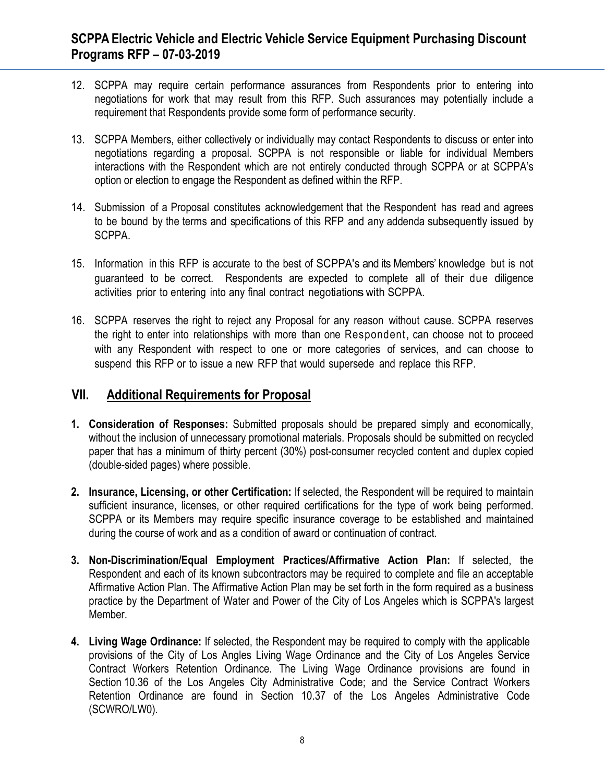- 12. SCPPA may require certain performance assurances from Respondents prior to entering into negotiations for work that may result from this RFP. Such assurances may potentially include a requirement that Respondents provide some form of performance security.
- 13. SCPPA Members, either collectively or individually may contact Respondents to discuss or enter into negotiations regarding a proposal. SCPPA is not responsible or liable for individual Members interactions with the Respondent which are not entirely conducted through SCPPA or at SCPPA's option or election to engage the Respondent as defined within the RFP.
- 14. Submission of a Proposal constitutes acknowledgement that the Respondent has read and agrees to be bound by the terms and specifications of this RFP and any addenda subsequently issued by SCPPA.
- 15. Information in this RFP is accurate to the best of SCPPA's and its Members' knowledge but is not guaranteed to be correct. Respondents are expected to complete all of their due diligence activities prior to entering into any final contract negotiationswith SCPPA.
- 16. SCPPA reserves the right to reject any Proposal for any reason without cause. SCPPA reserves the right to enter into relationships with more than one Respondent, can choose not to proceed with any Respondent with respect to one or more categories of services, and can choose to suspend this RFP or to issue a new RFP that would supersede and replace this RFP.

### **VII. Additional Requirements for Proposal**

- **1. Consideration of Responses:** Submitted proposals should be prepared simply and economically, without the inclusion of unnecessary promotional materials. Proposals should be submitted on recycled paper that has a minimum of thirty percent (30%) post-consumer recycled content and duplex copied (double-sided pages) where possible.
- **2. Insurance, Licensing, or other Certification:** If selected, the Respondent will be required to maintain sufficient insurance, licenses, or other required certifications for the type of work being performed. SCPPA or its Members may require specific insurance coverage to be established and maintained during the course of work and as a condition of award or continuation of contract.
- **3. Non-Discrimination/Equal Employment Practices/Affirmative Action Plan:** If selected, the Respondent and each of its known subcontractors may be required to complete and file an acceptable Affirmative Action Plan. The Affirmative Action Plan may be set forth in the form required as a business practice by the Department of Water and Power of the City of Los Angeles which is SCPPA's largest Member.
- **4. Living Wage Ordinance:** If selected, the Respondent may be required to comply with the applicable provisions of the City of Los Angles Living Wage Ordinance and the City of Los Angeles Service Contract Workers Retention Ordinance. The Living Wage Ordinance provisions are found in Section 10.36 of the Los Angeles City Administrative Code; and the Service Contract Workers Retention Ordinance are found in Section 10.37 of the Los Angeles Administrative Code (SCWRO/LW0).